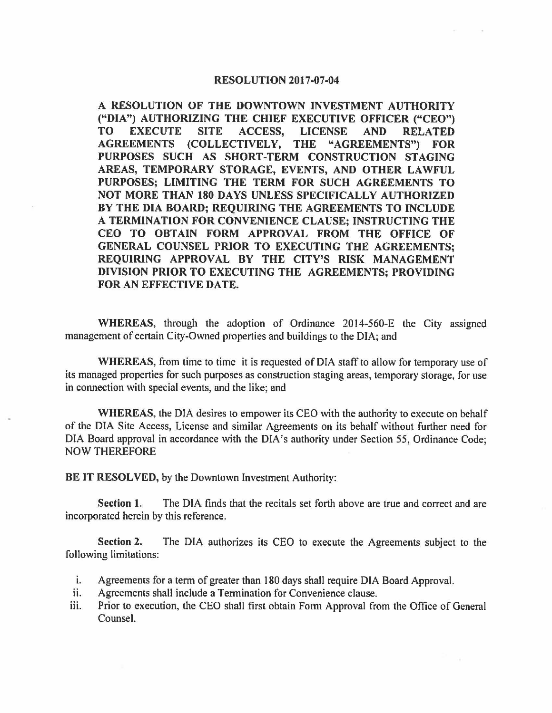## **RESOLUTION 2017-07-04**

**A RESOLUTION OF THE DOWNTOWN INVESTMENT AUTHORITY ("DIA") AUTHORIZING THE CHIEF EXECUTIVE OFFICER ("CEO") TO EXECUTE SITE ACCESS, LICENSE AND RELATED AGREEMENTS (COLLECTIVELY, THE "AGREEMENTS") FOR PURPOSES SUCH AS SHORT-TERM CONSTRUCTION STAGING AREAS, TEMPORARY STORAGE, EVENTS, AND OTHER LAWFUL PURPOSES; LIMITING THE TERM FOR SUCH AGREEMENTS TO NOT MORE THAN 180 DAYS UNLESS SPECIFICALLY AUTHORIZED BY THE DIA BOARD; REQUIRING THE AGREEMENTS TO INCLUDE A TERMINATION FOR CONVENIENCE CLAUSE; INSTRUCTING THE CEO TO OBTAIN FORM APPROVAL FROM THE OFFICE OF GENERAL COUNSEL PRIOR TO EXECUTING THE AGREEMENTS; REQUIRING APPROVAL BY THE CITY'S RISK MANAGEMENT DIVISION PRIOR TO EXECUTING THE AGREEMENTS; PROVIDING FOR AN EFFECTIVE DATE.** 

**WHEREAS,** through the adoption of Ordinance 2014-560-E the City assigned management of certain City-Owned properties and buildings to the DIA; and

**WHEREAS,** from time to time it is requested of DIA staff to allow for temporary use of its managed properties for such purposes as construction staging areas, temporary storage, for use in connection with special events, and the like; and

**WHEREAS,** the DIA desires to empower its CEO with the authority to execute on behalf of the DIA Site Access, License and similar Agreements on its behalf without further need for DIA Board approval in accordance with the DIA's authority under Section 55, Ordinance Code; NOW THEREFORE

**BE IT RESOLVED,** by the Downtown Investment Authority:

**Section 1.** The DIA finds that the recitals set forth above are true and correct and are incorporated herein by this reference.

**Section 2.** The DIA authorizes its CEO to execute the Agreements subject to the following limitations:

- i. Agreements for a term of greater than 180 days shall require DIA Board Approval.
- ii. Agreements shall include a Termination for Convenience clause.
- iii. Prior to execution, the CEO shall first obtain Form Approval from the Office of General Counsel.